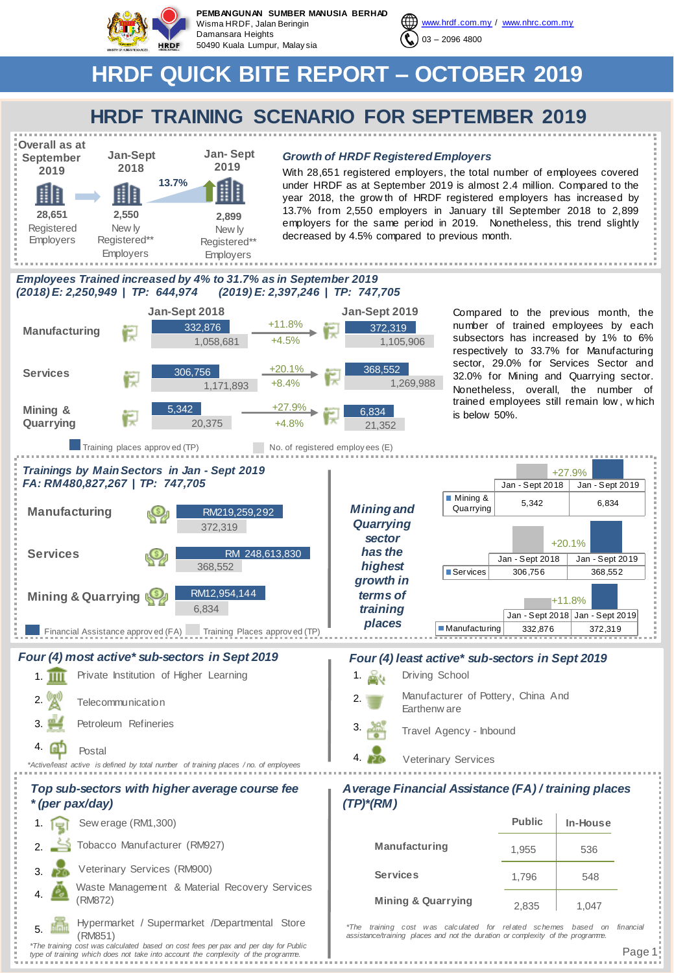

**PEMBANGUNAN SUMBER MANUSIA BERHAD** Wisma HRDF, Jalan Beringin Damansara Heights 50490 Kuala Lumpur, Malay sia



# **HRDF QUICK BITE REPORT – OCTOBER 2019**

### **HRDF TRAINING SCENARIO FOR SEPTEMBER 2019**



#### **Jan- Sept** *Growth of HRDF Registered Employers*

With 28,651 registered employers, the total number of employees covered under HRDF as at September 2019 is almost 2.4 million. Compared to the year 2018, the grow th of HRDF registered employers has increased by 13.7% from 2,550 employers in January till September 2018 to 2,899 employers for the same period in 2019. Nonetheless, this trend slightly decreased by 4.5% compared to previous month.

#### *Employees Trained increased by 4% to 31.7% as in September 2019 (2018) E: 2,250,949 | TP: 644,974 (2019) E: 2,397,246 | TP: 747,705*



Page 1